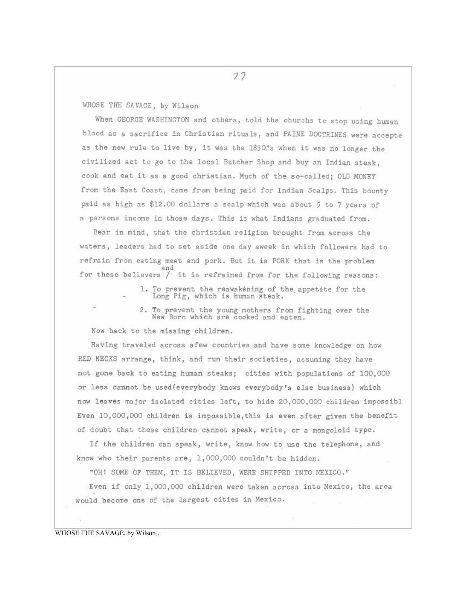77

WHOSE THE SAVAGE, by Wilson

When GEORGE WASHINGTON and others, told the churchs to stop using human blood as a sacrifice in Christian rituals, and PAINE DOCTRINES were accepte as the new rule to live by, it was the 1830's when it was no longer the civilized act to go to the local Butcher Shop and buy an Indian steak. cook and eat it as a good christian. Much of the so-called; OLD MONEY from the East Coast, came from being paid for Indian Scalps. This bounty paid as high as \$12.00 dollars a scalp which was about 5 to 7 years of a persons income in those days. This is what Indians graduated from.

Bear in mind, that the christian religion brought from across the waters, leaders had to set aside one day aweek in which followers had to refrain from eating meat and pork. But it is PORK that is the problem and for these believers / it is refrained from for the following reasons:

> 1. To prevent the reawakening of the appetite for the Long Pig, which is human steak.

2. To prevent the young mothers from fighting over the New Born which are cooked and eaten.

Now back to the missing children.

Having traveled across afew countries and have some knowledge on how RED NECKS arrange, think, and run their societies, assuming they have not gone back to eating human steaks; cities with populations of 100,000 or less cannot be used(everybody knows everybody's else business) which now leaves major isolated cities left, to hide 20,000,000 children impossibl Even 10,000,000 children is impossible, this is even after given the benefit of doubt that these children cannot speak, write, or a mongoloid type.

If the children can speak, write, know how to use the telephone, and know who their parents are, 1,000,000 couldn't be hidden.

"OH! SOME OF THEM, IT IS BELIEVED, WERE SHIPPED INTO MEXICO."

Even if only 1,000,000 children were taken across into Mexico, the area would become one of the largest cities in Mexico.

WHOSE THE SAVAGE, by Wilson.